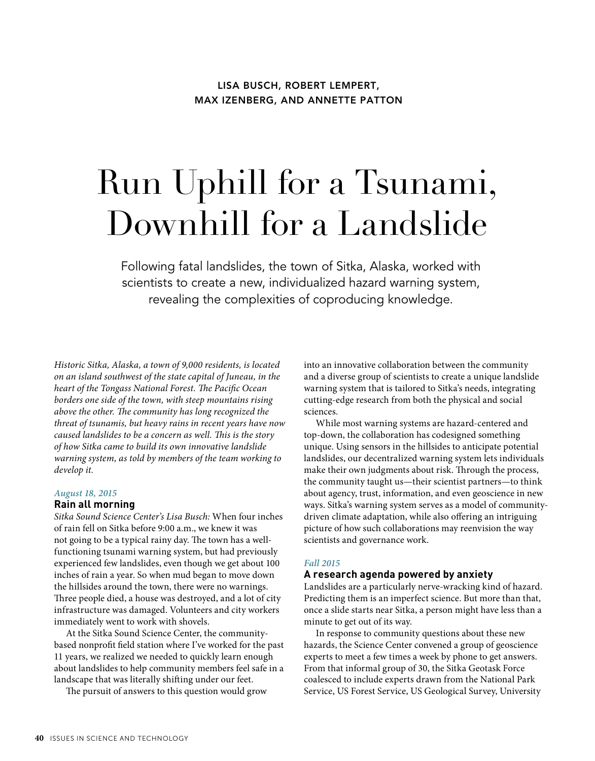## **LISA BUSCH, ROBERT LEMPERT, MAX IZENBERG, AND ANNETTE PATTON**

# Run Uphill for a Tsunami, Downhill for a Landslide

Following fatal landslides, the town of Sitka, Alaska, worked with scientists to create a new, individualized hazard warning system, revealing the complexities of coproducing knowledge.

*Historic Sitka, Alaska, a town of 9,000 residents, is located on an island southwest of the state capital of Juneau, in the heart of the Tongass National Forest. The Pacific Ocean borders one side of the town, with steep mountains rising above the other. The community has long recognized the threat of tsunamis, but heavy rains in recent years have now caused landslides to be a concern as well. This is the story of how Sitka came to build its own innovative landslide warning system, as told by members of the team working to develop it.*

#### *August 18, 2015*

#### **Rain all morning**

*Sitka Sound Science Center's Lisa Busch:* When four inches of rain fell on Sitka before 9:00 a.m., we knew it was not going to be a typical rainy day. The town has a wellfunctioning tsunami warning system, but had previously experienced few landslides, even though we get about 100 inches of rain a year. So when mud began to move down the hillsides around the town, there were no warnings. Three people died, a house was destroyed, and a lot of city infrastructure was damaged. Volunteers and city workers immediately went to work with shovels.

At the Sitka Sound Science Center, the communitybased nonprofit field station where I've worked for the past 11 years, we realized we needed to quickly learn enough about landslides to help community members feel safe in a landscape that was literally shifting under our feet.

The pursuit of answers to this question would grow

into an innovative collaboration between the community and a diverse group of scientists to create a unique landslide warning system that is tailored to Sitka's needs, integrating cutting-edge research from both the physical and social sciences.

While most warning systems are hazard-centered and top-down, the collaboration has codesigned something unique. Using sensors in the hillsides to anticipate potential landslides, our decentralized warning system lets individuals make their own judgments about risk. Through the process, the community taught us—their scientist partners—to think about agency, trust, information, and even geoscience in new ways. Sitka's warning system serves as a model of communitydriven climate adaptation, while also offering an intriguing picture of how such collaborations may reenvision the way scientists and governance work.

#### *Fall 2015*

## **A research agenda powered by anxiety**

Landslides are a particularly nerve-wracking kind of hazard. Predicting them is an imperfect science. But more than that, once a slide starts near Sitka, a person might have less than a minute to get out of its way.

In response to community questions about these new hazards, the Science Center convened a group of geoscience experts to meet a few times a week by phone to get answers. From that informal group of 30, the Sitka Geotask Force coalesced to include experts drawn from the National Park Service, US Forest Service, US Geological Survey, University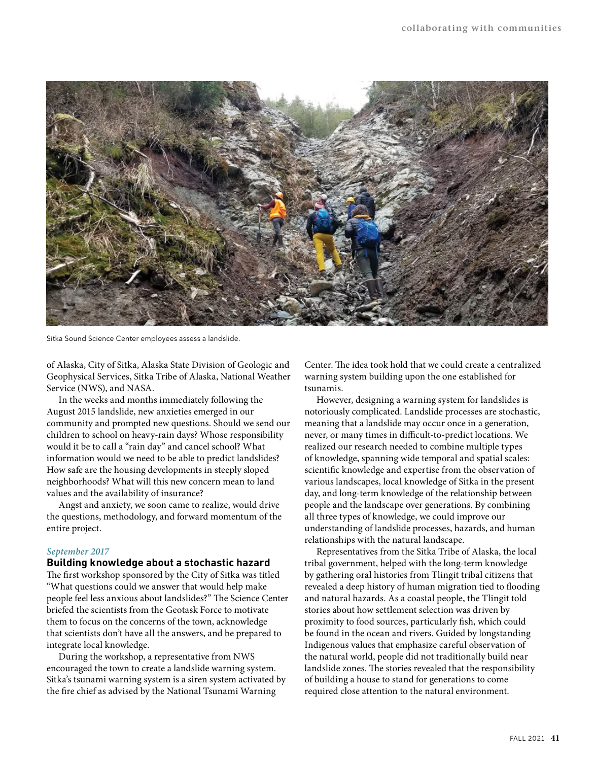

Sitka Sound Science Center employees assess a landslide.

of Alaska, City of Sitka, Alaska State Division of Geologic and Geophysical Services, Sitka Tribe of Alaska, National Weather Service (NWS), and NASA.

In the weeks and months immediately following the August 2015 landslide, new anxieties emerged in our community and prompted new questions. Should we send our children to school on heavy-rain days? Whose responsibility would it be to call a "rain day" and cancel school? What information would we need to be able to predict landslides? How safe are the housing developments in steeply sloped neighborhoods? What will this new concern mean to land values and the availability of insurance?

Angst and anxiety, we soon came to realize, would drive the questions, methodology, and forward momentum of the entire project.

## *September 2017*

## **Building knowledge about a stochastic hazard**

The first workshop sponsored by the City of Sitka was titled "What questions could we answer that would help make people feel less anxious about landslides?" The Science Center briefed the scientists from the Geotask Force to motivate them to focus on the concerns of the town, acknowledge that scientists don't have all the answers, and be prepared to integrate local knowledge.

During the workshop, a representative from NWS encouraged the town to create a landslide warning system. Sitka's tsunami warning system is a siren system activated by the fire chief as advised by the National Tsunami Warning

Center. The idea took hold that we could create a centralized warning system building upon the one established for tsunamis.

However, designing a warning system for landslides is notoriously complicated. Landslide processes are stochastic, meaning that a landslide may occur once in a generation, never, or many times in difficult-to-predict locations. We realized our research needed to combine multiple types of knowledge, spanning wide temporal and spatial scales: scientific knowledge and expertise from the observation of various landscapes, local knowledge of Sitka in the present day, and long-term knowledge of the relationship between people and the landscape over generations. By combining all three types of knowledge, we could improve our understanding of landslide processes, hazards, and human relationships with the natural landscape.

Representatives from the Sitka Tribe of Alaska, the local tribal government, helped with the long-term knowledge by gathering oral histories from Tlingit tribal citizens that revealed a deep history of human migration tied to flooding and natural hazards. As a coastal people, the Tlingit told stories about how settlement selection was driven by proximity to food sources, particularly fish, which could be found in the ocean and rivers. Guided by longstanding Indigenous values that emphasize careful observation of the natural world, people did not traditionally build near landslide zones. The stories revealed that the responsibility of building a house to stand for generations to come required close attention to the natural environment.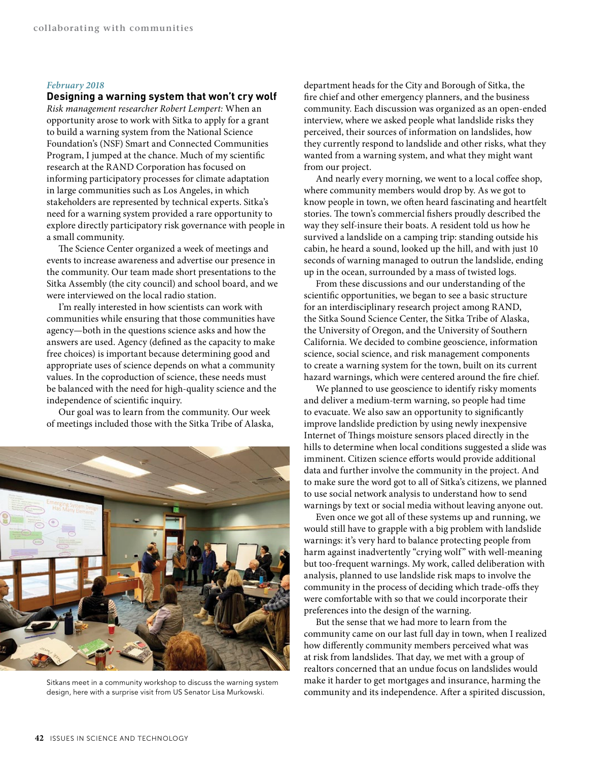#### *February 2018*

#### **Designing a warning system that won't cry wolf**

*Risk management researcher Robert Lempert:* When an opportunity arose to work with Sitka to apply for a grant to build a warning system from the National Science Foundation's (NSF) Smart and Connected Communities Program, I jumped at the chance. Much of my scientific research at the RAND Corporation has focused on informing participatory processes for climate adaptation in large communities such as Los Angeles, in which stakeholders are represented by technical experts. Sitka's need for a warning system provided a rare opportunity to explore directly participatory risk governance with people in a small community.

The Science Center organized a week of meetings and events to increase awareness and advertise our presence in the community. Our team made short presentations to the Sitka Assembly (the city council) and school board, and we were interviewed on the local radio station.

I'm really interested in how scientists can work with communities while ensuring that those communities have agency—both in the questions science asks and how the answers are used. Agency (defined as the capacity to make free choices) is important because determining good and appropriate uses of science depends on what a community values. In the coproduction of science, these needs must be balanced with the need for high-quality science and the independence of scientific inquiry.

Our goal was to learn from the community. Our week of meetings included those with the Sitka Tribe of Alaska,



Sitkans meet in a community workshop to discuss the warning system design, here with a surprise visit from US Senator Lisa Murkowski.

department heads for the City and Borough of Sitka, the fire chief and other emergency planners, and the business community. Each discussion was organized as an open-ended interview, where we asked people what landslide risks they perceived, their sources of information on landslides, how they currently respond to landslide and other risks, what they wanted from a warning system, and what they might want from our project.

And nearly every morning, we went to a local coffee shop, where community members would drop by. As we got to know people in town, we often heard fascinating and heartfelt stories. The town's commercial fishers proudly described the way they self-insure their boats. A resident told us how he survived a landslide on a camping trip: standing outside his cabin, he heard a sound, looked up the hill, and with just 10 seconds of warning managed to outrun the landslide, ending up in the ocean, surrounded by a mass of twisted logs.

From these discussions and our understanding of the scientific opportunities, we began to see a basic structure for an interdisciplinary research project among RAND, the Sitka Sound Science Center, the Sitka Tribe of Alaska, the University of Oregon, and the University of Southern California. We decided to combine geoscience, information science, social science, and risk management components to create a warning system for the town, built on its current hazard warnings, which were centered around the fire chief.

We planned to use geoscience to identify risky moments and deliver a medium-term warning, so people had time to evacuate. We also saw an opportunity to significantly improve landslide prediction by using newly inexpensive Internet of Things moisture sensors placed directly in the hills to determine when local conditions suggested a slide was imminent. Citizen science efforts would provide additional data and further involve the community in the project. And to make sure the word got to all of Sitka's citizens, we planned to use social network analysis to understand how to send warnings by text or social media without leaving anyone out.

Even once we got all of these systems up and running, we would still have to grapple with a big problem with landslide warnings: it's very hard to balance protecting people from harm against inadvertently "crying wolf" with well-meaning but too-frequent warnings. My work, called deliberation with analysis, planned to use landslide risk maps to involve the community in the process of deciding which trade-offs they were comfortable with so that we could incorporate their preferences into the design of the warning.

But the sense that we had more to learn from the community came on our last full day in town, when I realized how differently community members perceived what was at risk from landslides. That day, we met with a group of realtors concerned that an undue focus on landslides would make it harder to get mortgages and insurance, harming the community and its independence. After a spirited discussion,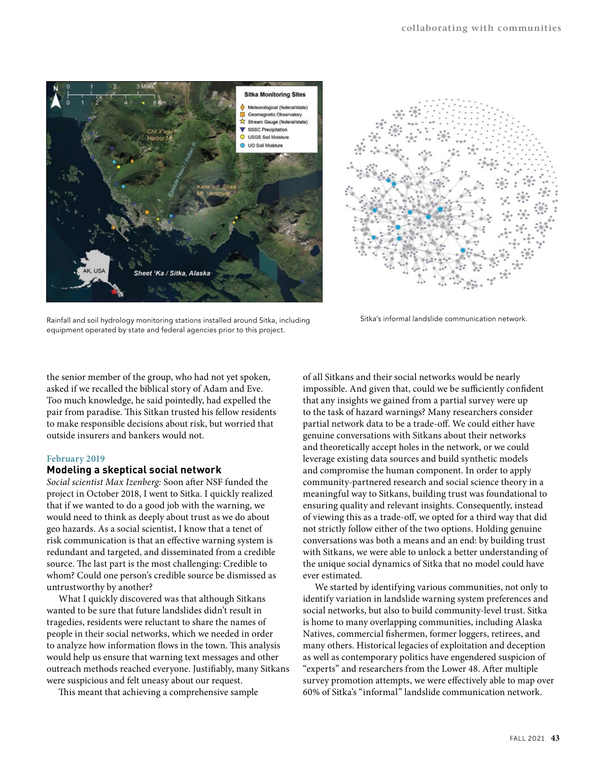



Sitka's informal landslide communication network.

Rainfall and soil hydrology monitoring stations installed around Sitka, including equipment operated by state and federal agencies prior to this project.

the senior member of the group, who had not yet spoken, asked if we recalled the biblical story of Adam and Eve. Too much knowledge, he said pointedly, had expelled the pair from paradise. This Sitkan trusted his fellow residents to make responsible decisions about risk, but worried that outside insurers and bankers would not.

#### **February 2019**

#### **Modeling a skeptical social network**

*Social scientist Max Izenberg:* Soon after NSF funded the project in October 2018, I went to Sitka. I quickly realized that if we wanted to do a good job with the warning, we would need to think as deeply about trust as we do about geo hazards. As a social scientist, I know that a tenet of risk communication is that an effective warning system is redundant and targeted, and disseminated from a credible source. The last part is the most challenging: Credible to whom? Could one person's credible source be dismissed as untrustworthy by another?

What I quickly discovered was that although Sitkans wanted to be sure that future landslides didn't result in tragedies, residents were reluctant to share the names of people in their social networks, which we needed in order to analyze how information flows in the town. This analysis would help us ensure that warning text messages and other outreach methods reached everyone. Justifiably, many Sitkans were suspicious and felt uneasy about our request.

This meant that achieving a comprehensive sample

of all Sitkans and their social networks would be nearly impossible. And given that, could we be sufficiently confident that any insights we gained from a partial survey were up to the task of hazard warnings? Many researchers consider partial network data to be a trade-off. We could either have genuine conversations with Sitkans about their networks and theoretically accept holes in the network, or we could leverage existing data sources and build synthetic models and compromise the human component. In order to apply community-partnered research and social science theory in a meaningful way to Sitkans, building trust was foundational to ensuring quality and relevant insights. Consequently, instead of viewing this as a trade-off, we opted for a third way that did not strictly follow either of the two options. Holding genuine conversations was both a means and an end: by building trust with Sitkans, we were able to unlock a better understanding of the unique social dynamics of Sitka that no model could have ever estimated.

We started by identifying various communities, not only to identify variation in landslide warning system preferences and social networks, but also to build community-level trust. Sitka is home to many overlapping communities, including Alaska Natives, commercial fishermen, former loggers, retirees, and many others. Historical legacies of exploitation and deception as well as contemporary politics have engendered suspicion of "experts" and researchers from the Lower 48. After multiple survey promotion attempts, we were effectively able to map over 60% of Sitka's "informal" landslide communication network.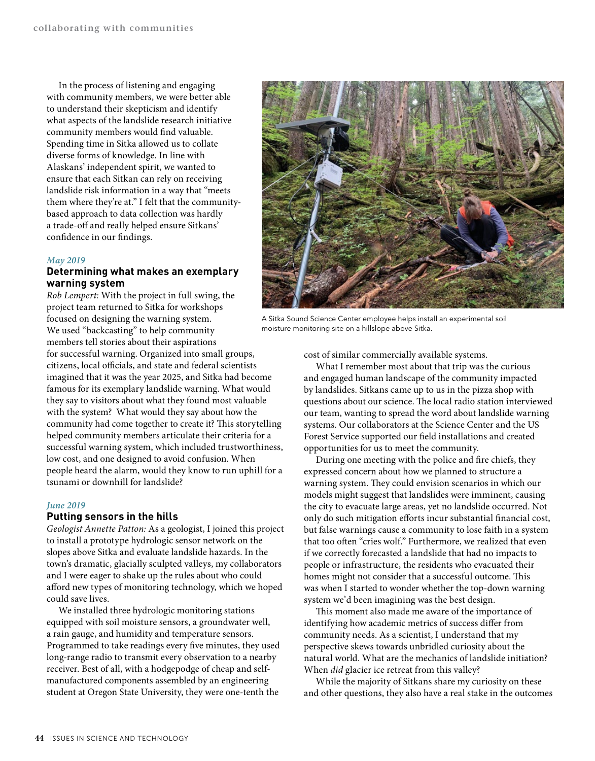In the process of listening and engaging with community members, we were better able to understand their skepticism and identify what aspects of the landslide research initiative community members would find valuable. Spending time in Sitka allowed us to collate diverse forms of knowledge. In line with Alaskans' independent spirit, we wanted to ensure that each Sitkan can rely on receiving landslide risk information in a way that "meets them where they're at." I felt that the communitybased approach to data collection was hardly a trade-off and really helped ensure Sitkans' confidence in our findings.

#### *May 2019*

## **Determining what makes an exemplary warning system**

*Rob Lempert:* With the project in full swing, the project team returned to Sitka for workshops focused on designing the warning system. We used "backcasting" to help community members tell stories about their aspirations for successful warning. Organized into small groups, citizens, local officials, and state and federal scientists imagined that it was the year 2025, and Sitka had become famous for its exemplary landslide warning. What would they say to visitors about what they found most valuable with the system? What would they say about how the

community had come together to create it? This storytelling helped community members articulate their criteria for a successful warning system, which included trustworthiness, low cost, and one designed to avoid confusion. When people heard the alarm, would they know to run uphill for a tsunami or downhill for landslide?

#### *June 2019*

## **Putting sensors in the hills**

*Geologist Annette Patton:* As a geologist, I joined this project to install a prototype hydrologic sensor network on the slopes above Sitka and evaluate landslide hazards. In the town's dramatic, glacially sculpted valleys, my collaborators and I were eager to shake up the rules about who could afford new types of monitoring technology, which we hoped could save lives.

We installed three hydrologic monitoring stations equipped with soil moisture sensors, a groundwater well, a rain gauge, and humidity and temperature sensors. Programmed to take readings every five minutes, they used long-range radio to transmit every observation to a nearby receiver. Best of all, with a hodgepodge of cheap and selfmanufactured components assembled by an engineering student at Oregon State University, they were one-tenth the



A Sitka Sound Science Center employee helps install an experimental soil moisture monitoring site on a hillslope above Sitka.

cost of similar commercially available systems.

What I remember most about that trip was the curious and engaged human landscape of the community impacted by landslides. Sitkans came up to us in the pizza shop with questions about our science. The local radio station interviewed our team, wanting to spread the word about landslide warning systems. Our collaborators at the Science Center and the US Forest Service supported our field installations and created opportunities for us to meet the community.

During one meeting with the police and fire chiefs, they expressed concern about how we planned to structure a warning system. They could envision scenarios in which our models might suggest that landslides were imminent, causing the city to evacuate large areas, yet no landslide occurred. Not only do such mitigation efforts incur substantial financial cost, but false warnings cause a community to lose faith in a system that too often "cries wolf." Furthermore, we realized that even if we correctly forecasted a landslide that had no impacts to people or infrastructure, the residents who evacuated their homes might not consider that a successful outcome. This was when I started to wonder whether the top-down warning system we'd been imagining was the best design.

This moment also made me aware of the importance of identifying how academic metrics of success differ from community needs. As a scientist, I understand that my perspective skews towards unbridled curiosity about the natural world. What are the mechanics of landslide initiation? When *did* glacier ice retreat from this valley?

While the majority of Sitkans share my curiosity on these and other questions, they also have a real stake in the outcomes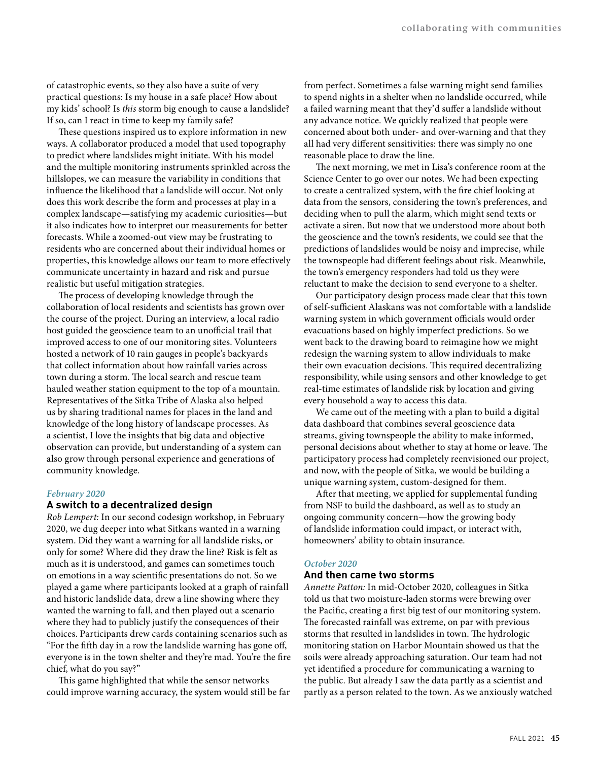of catastrophic events, so they also have a suite of very practical questions: Is my house in a safe place? How about my kids' school? Is *this* storm big enough to cause a landslide? If so, can I react in time to keep my family safe?

These questions inspired us to explore information in new ways. A collaborator produced a model that used topography to predict where landslides might initiate. With his model and the multiple monitoring instruments sprinkled across the hillslopes, we can measure the variability in conditions that influence the likelihood that a landslide will occur. Not only does this work describe the form and processes at play in a complex landscape—satisfying my academic curiosities—but it also indicates how to interpret our measurements for better forecasts. While a zoomed-out view may be frustrating to residents who are concerned about their individual homes or properties, this knowledge allows our team to more effectively communicate uncertainty in hazard and risk and pursue realistic but useful mitigation strategies.

The process of developing knowledge through the collaboration of local residents and scientists has grown over the course of the project. During an interview, a local radio host guided the geoscience team to an unofficial trail that improved access to one of our monitoring sites. Volunteers hosted a network of 10 rain gauges in people's backyards that collect information about how rainfall varies across town during a storm. The local search and rescue team hauled weather station equipment to the top of a mountain. Representatives of the Sitka Tribe of Alaska also helped us by sharing traditional names for places in the land and knowledge of the long history of landscape processes. As a scientist, I love the insights that big data and objective observation can provide, but understanding of a system can also grow through personal experience and generations of community knowledge.

#### *February 2020*

## **A switch to a decentralized design**

*Rob Lempert:* In our second codesign workshop, in February 2020, we dug deeper into what Sitkans wanted in a warning system. Did they want a warning for all landslide risks, or only for some? Where did they draw the line? Risk is felt as much as it is understood, and games can sometimes touch on emotions in a way scientific presentations do not. So we played a game where participants looked at a graph of rainfall and historic landslide data, drew a line showing where they wanted the warning to fall, and then played out a scenario where they had to publicly justify the consequences of their choices. Participants drew cards containing scenarios such as "For the fifth day in a row the landslide warning has gone off, everyone is in the town shelter and they're mad. You're the fire chief, what do you say?"

This game highlighted that while the sensor networks could improve warning accuracy, the system would still be far from perfect. Sometimes a false warning might send families to spend nights in a shelter when no landslide occurred, while a failed warning meant that they'd suffer a landslide without any advance notice. We quickly realized that people were concerned about both under- and over-warning and that they all had very different sensitivities: there was simply no one reasonable place to draw the line.

The next morning, we met in Lisa's conference room at the Science Center to go over our notes. We had been expecting to create a centralized system, with the fire chief looking at data from the sensors, considering the town's preferences, and deciding when to pull the alarm, which might send texts or activate a siren. But now that we understood more about both the geoscience and the town's residents, we could see that the predictions of landslides would be noisy and imprecise, while the townspeople had different feelings about risk. Meanwhile, the town's emergency responders had told us they were reluctant to make the decision to send everyone to a shelter.

Our participatory design process made clear that this town of self-sufficient Alaskans was not comfortable with a landslide warning system in which government officials would order evacuations based on highly imperfect predictions. So we went back to the drawing board to reimagine how we might redesign the warning system to allow individuals to make their own evacuation decisions. This required decentralizing responsibility, while using sensors and other knowledge to get real-time estimates of landslide risk by location and giving every household a way to access this data.

We came out of the meeting with a plan to build a digital data dashboard that combines several geoscience data streams, giving townspeople the ability to make informed, personal decisions about whether to stay at home or leave. The participatory process had completely reenvisioned our project, and now, with the people of Sitka, we would be building a unique warning system, custom-designed for them.

After that meeting, we applied for supplemental funding from NSF to build the dashboard, as well as to study an ongoing community concern—how the growing body of landslide information could impact, or interact with, homeowners' ability to obtain insurance.

## *October 2020*

## **And then came two storms**

*Annette Patton:* In mid-October 2020, colleagues in Sitka told us that two moisture-laden storms were brewing over the Pacific, creating a first big test of our monitoring system. The forecasted rainfall was extreme, on par with previous storms that resulted in landslides in town. The hydrologic monitoring station on Harbor Mountain showed us that the soils were already approaching saturation. Our team had not yet identified a procedure for communicating a warning to the public. But already I saw the data partly as a scientist and partly as a person related to the town. As we anxiously watched